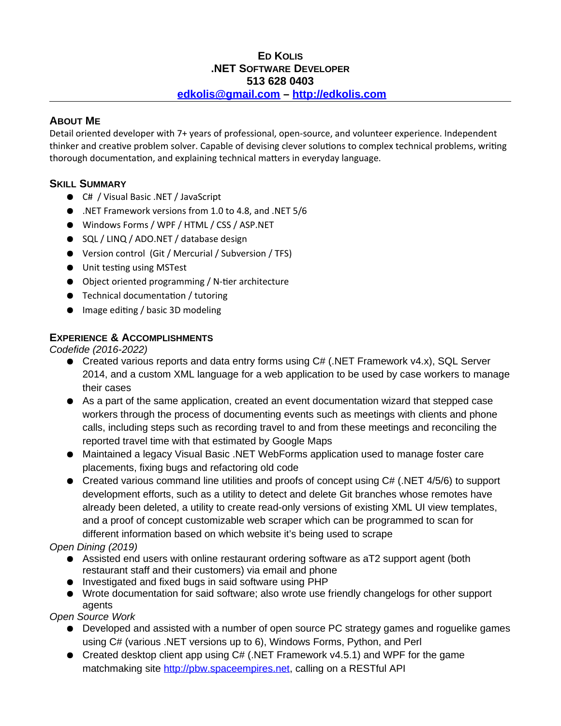### **ED KOLIS .NET SOFTWARE DEVELOPER 513 628 0403 edkolis@gmail.com – http://edkolis.com**

#### **ABOUT ME**

Detail oriented developer with 7+ years of professional, open-source, and volunteer experience. Independent thinker and creative problem solver. Capable of devising clever solutions to complex technical problems, writing thorough documentation, and explaining technical matters in everyday language.

## **SKILL SUMMARY**

- C# / Visual Basic .NET / JavaScript
- .NET Framework versions from 1.0 to 4.8, and .NET 5/6
- Windows Forms / WPF / HTML / CSS / ASP.NET
- SQL / LINQ / ADO.NET / database design
- Version control (Git / Mercurial / Subversion / TFS)
- Unit testing using MSTest
- Object oriented programming / N-tier architecture
- Technical documentation / tutoring
- Image editing / basic 3D modeling

### **EXPERIENCE & ACCOMPLISHMENTS**

*Codefide (2016-2022)*

- Created various reports and data entry forms using C# (.NET Framework v4.x), SOL Server 2014, and a custom XML language for a web application to be used by case workers to manage their cases
- As a part of the same application, created an event documentation wizard that stepped case workers through the process of documenting events such as meetings with clients and phone calls, including steps such as recording travel to and from these meetings and reconciling the reported travel time with that estimated by Google Maps
- Maintained a legacy Visual Basic .NET WebForms application used to manage foster care placements, fixing bugs and refactoring old code
- Created various command line utilities and proofs of concept using C# (.NET 4/5/6) to support development efforts, such as a utility to detect and delete Git branches whose remotes have already been deleted, a utility to create read-only versions of existing XML UI view templates, and a proof of concept customizable web scraper which can be programmed to scan for different information based on which website it's being used to scrape

## *Open Dining (2019)*

- Assisted end users with online restaurant ordering software as aT2 support agent (both restaurant staff and their customers) via email and phone
- Investigated and fixed bugs in said software using PHP
- Wrote documentation for said software; also wrote use friendly changelogs for other support agents

*Open Source Work*

- Developed and assisted with a number of open source PC strategy games and roguelike games using C# (various .NET versions up to 6), Windows Forms, Python, and Perl
- Created desktop client app using  $C#$  (.NET Framework v4.5.1) and WPF for the game matchmaking site http://pbw.spaceempires.net, calling on a RESTful API